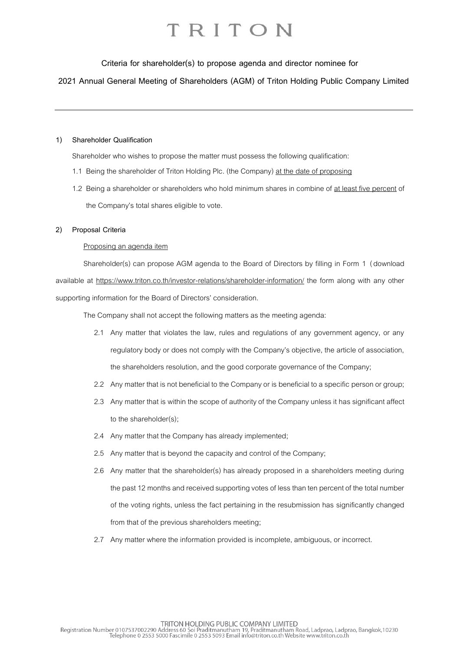**Criteria for shareholder(s) to propose agenda and director nominee for**

**2021 Annual General Meeting of Shareholders (AGM) of Triton Holding Public Company Limited**

#### **1) Shareholder Qualification**

Shareholder who wishes to propose the matter must possess the following qualification:

- 1.1 Being the shareholder of Triton Holding Plc. (the Company) at the date of proposing
- 1.2 Being a shareholder or shareholders who hold minimum shares in combine of at least five percent of the Company's total shares eligible to vote.

#### **2) Proposal Criteria**

#### Proposing an agenda item

Shareholder(s) can propose AGM agenda to the Board of Directors by filling in Form 1 (download available at<https://www.triton.co.th/investor-relations/shareholder-information/> the form along with any other supporting information for the Board of Directors' consideration.

The Company shall not accept the following matters as the meeting agenda:

- 2.1 Any matter that violates the law, rules and regulations of any government agency, or any regulatory body or does not comply with the Company's objective, the article of association, the shareholders resolution, and the good corporate governance of the Company;
- 2.2 Any matter that is not beneficial to the Company or is beneficial to a specific person or group;
- 2.3 Any matter that is within the scope of authority of the Company unless it has significant affect to the shareholder(s);
- 2.4 Any matter that the Company has already implemented;
- 2.5 Any matter that is beyond the capacity and control of the Company;
- 2.6 Any matter that the shareholder(s) has already proposed in a shareholders meeting during the past 12 months and received supporting votes of less than ten percent of the total number of the voting rights, unless the fact pertaining in the resubmission has significantly changed from that of the previous shareholders meeting;
- 2.7 Any matter where the information provided is incomplete, ambiguous, or incorrect.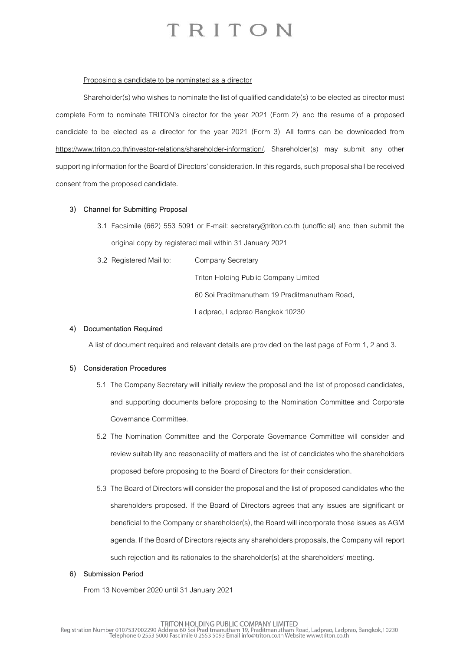#### Proposing a candidate to be nominated as a director

Shareholder(s) who wishes to nominate the list of qualified candidate(s) to be elected as director must complete Form to nominate TRITON's director for the year 2021 (Form 2) and the resume of a proposed candidate to be elected as a director for the year 2021 (Form 3) All forms can be downloaded from https://www.triton.co.th/investor-relations/shareholder-information/. Shareholder(s) may submit any other supporting information for the Board of Directors' consideration. In this regards, such proposal shall be received consent from the proposed candidate.

#### **3) Channel for Submitting Proposal**

- 3.1 Facsimile (662) 553 5091 or E-mail: [secretary@triton.co.th](file:///D:/Users/tharakorn/AppData/Local/Microsoft/Windows/Temporary%20Internet%20Files/Content.Outlook/ZROAD9I4/secretary@triton.co.th) (unofficial) and then submit the original copy by registered mail within 31 January 2021
- 3.2 Registered Mail to: Company Secretary

Triton Holding Public Company Limited

60 Soi Praditmanutham 19 Praditmanutham Road,

Ladprao, Ladprao Bangkok 10230

#### **4) Documentation Required**

A list of document required and relevant details are provided on the last page of Form 1, 2 and 3.

#### **5) Consideration Procedures**

- 5.1 The Company Secretary will initially review the proposal and the list of proposed candidates, and supporting documents before proposing to the Nomination Committee and Corporate Governance Committee.
- 5.2 The Nomination Committee and the Corporate Governance Committee will consider and review suitability and reasonability of matters and thelist of candidates who the shareholders proposed before proposing to the Board of Directors for their consideration.
- 5.3 The Board of Directors will consider the proposal and the list of proposed candidates who the shareholders proposed. If the Board of Directors agrees that any issues are significant or beneficial to the Company or shareholder(s), the Board will incorporate those issues as AGM agenda. If the Board of Directors rejects any shareholders proposals, the Company will report such rejection and its rationales to the shareholder(s) at the shareholders' meeting.

#### **6) Submission Period**

From 13 November 2020 until 31 January 2021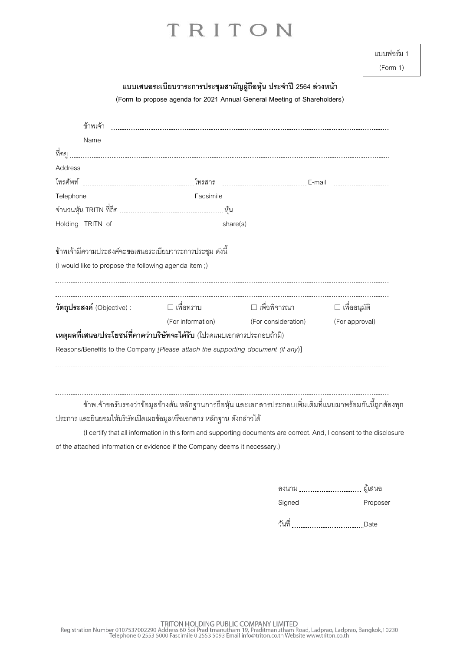| แบบฟอร์ม 1 |  |
|------------|--|
|            |  |

(Form 1)

| แบบเสนอระเบียบวาระการประชุมสามัญผู้ถือหุ้น ประจำปี 2564 ล่วงหน้า |                                                                                                                                                                                  |                                       |                |
|------------------------------------------------------------------|----------------------------------------------------------------------------------------------------------------------------------------------------------------------------------|---------------------------------------|----------------|
|                                                                  | (Form to propose agenda for 2021 Annual General Meeting of Shareholders)                                                                                                         |                                       |                |
|                                                                  |                                                                                                                                                                                  |                                       |                |
| Name                                                             |                                                                                                                                                                                  |                                       |                |
| ที่อยู่                                                          |                                                                                                                                                                                  |                                       |                |
| Address                                                          |                                                                                                                                                                                  |                                       |                |
|                                                                  |                                                                                                                                                                                  |                                       |                |
| Telephone                                                        | Facsimile                                                                                                                                                                        |                                       |                |
|                                                                  |                                                                                                                                                                                  |                                       |                |
| Holding TRITN of                                                 |                                                                                                                                                                                  | share(s)                              |                |
| ข้าพเจ้ามีความประสงค์จะขอเสนอระเบียบวาระการประชุม ดังนี้         |                                                                                                                                                                                  |                                       |                |
| (I would like to propose the following agenda item;)             |                                                                                                                                                                                  |                                       |                |
| วัตถุประสงค์ (Objective):                                        | □ เพื่อทราบ                                                                                                                                                                      | □ เพื่อพิจารณา                        | □ เพื่ออนุมัติ |
|                                                                  |                                                                                                                                                                                  | (For information) (For consideration) | (For approval) |
|                                                                  | เหตุผลที่เสนอ/ประโยชน์ที่คาดว่าบริษัทจะได้รับ (โปรดแนบเอกสารประกอบถ้ามี)                                                                                                         |                                       |                |
|                                                                  | Reasons/Benefits to the Company [Please attach the supporting document (if any)]                                                                                                 |                                       |                |
|                                                                  | ข้าพเจ้าขอรับรองว่าข้อมูลข้างต้น หลักฐานการถือหุ้น และเอกสารประกอบเพิ่มเติมที่แนบมาพร้อมกันนี้ถูกต้องทุก<br>ประการ และยินยอมให้บริษัทเปิดเผยข้อมูลหรือเอกสาร หลักฐาน ดังกล่าวได้ |                                       |                |
|                                                                  | (I certify that all information in this form and supporting documents are correct. And, I consent to the disclosure                                                              |                                       |                |

of the attached information or evidence if the Company deems it necessary.)

| ลงนาม  | ผู้เสนอ  |
|--------|----------|
| Signed | Proposer |

วันที่ Date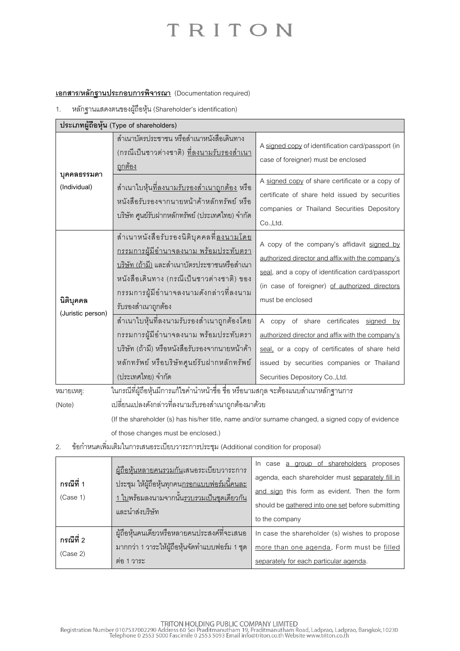### **เอกสาร/หลักฐานประกอบการพิจารณา** (Documentation required)

1. หลักฐานแสดงตนของผู้ถือหุ้น (Shareholder's identification)

| ประเภทผู้ถือหุ้น (Type of shareholders) |                                                                                                                                                                                                                                                                  |                                                                                                                                                                                                                              |  |
|-----------------------------------------|------------------------------------------------------------------------------------------------------------------------------------------------------------------------------------------------------------------------------------------------------------------|------------------------------------------------------------------------------------------------------------------------------------------------------------------------------------------------------------------------------|--|
| บุคคลธรรมดา<br>(Individual)             | สำเนาบัตรประชาชน หรือสำเนาหนังสือเดินทาง<br>(กรณีเป็นชาวต่างชาติ) <u>ที่ลงนามรับรองสำเนา</u><br><u>ถูกต้อง</u>                                                                                                                                                   | A signed copy of identification card/passport (in<br>case of foreigner) must be enclosed                                                                                                                                     |  |
|                                         | ้ สำเนาใบหุ้น <u>ที่ลงนามรับรองสำเนาถูกต้อง</u> หรือ<br>หนังสือรับรองจากนายหน้าค้าหลักทรัพย์ หรือ<br>บริษัท ศูนย์รับฝากหลักทรัพย์ (ประเทศไทย) จำกัด                                                                                                              | A signed copy of share certificate or a copy of<br>certificate of share held issued by securities<br>companies or Thailand Securities Depository<br>Co.,Ltd.                                                                 |  |
| นิติบุคคล<br>(Juristic person)          | สำเนาหนังสือรับรองนิติบุคคลที่ <u>ลงนามโดย</u><br><u>กรรมการผู้มีอำนาจลงนาม พร้อมประทับตรา</u><br><u>บริษัท (ถ้ามี)</u> และสำเนาบัตรประชาชนหรือสำเนา<br>หนังสือเดินทาง (กรณีเป็นชาวต่างชาติ) ของ<br>กรรมการผู้มีอำนาจลงนามดังกล่าวที่ลงนาม<br>รับรองสำเนาถูกต้อง | A copy of the company's affidavit signed by<br>authorized director and affix with the company's<br>seal, and a copy of identification card/passport<br>(in case of foreigner) of authorized directors<br>must be enclosed    |  |
|                                         | สำเนาใบหุ้นที่ลงนามรับรองสำเนาถูกต้องโดย<br>กรรมการผู้มีอำนาจลงนาม พร้อมประทับตรา<br>บริษัท (ถ้ามี) หรือหนังสือรับรองจากนายหน้าค้า<br>หลักทรัพย์ หรือบริษัทศูนย์รับฝากหลักทรัพย์<br>(ประเทศไทย) จำกัด                                                            | A copy of share certificates signed by<br>authorized director and affix with the company's<br>seal, or a copy of certificates of share held<br>issued by securities companies or Thailand<br>Securities Depository Co., Ltd. |  |
| หมายเหตุ:                               | ในกรณีที่ผู้ถือหุ้นมีการแก้ไขคำนำหน้าชื่อ ชื่อ หรือนามสกุล จะต้องแนบสำเนาหลักฐานการ                                                                                                                                                                              |                                                                                                                                                                                                                              |  |
| (Note)                                  | เปลี่ยนแปลงดังกล่าวที่ลงนามรับรองสำเนาถูกต้องมาด้วย                                                                                                                                                                                                              |                                                                                                                                                                                                                              |  |

(If the shareholder (s) has his/her title, name and/or surname changed, a signed copy of evidence of those changes must be enclosed.)

2. ข้อกำหนดเพิ่มเติมในการเสนอระเบียบวาระการประชุม (Additional condition for proposal)

|            | ผู้ถือหุ้นหลายคนรวมกันเสนอระเบียบวาระการ                              | In case a group of shareholders proposes          |
|------------|-----------------------------------------------------------------------|---------------------------------------------------|
| ึกรณีที่ 1 | <u>ประชุม ให้ผู้ถือหุ้นทุกคนกรอกแบบฟอร์มนี้คนละ</u>                   | agenda, each shareholder must separately fill in  |
| (Case 1)   | <u>้ 1 ใบพร้อมลงนามจากนั้นรวบรวมเป็นชุดเดียวกัน</u><br>และนำส่งบริษัท | and sign this form as evident. Then the form      |
|            |                                                                       | should be gathered into one set before submitting |
|            |                                                                       | to the company                                    |
| ึกรณีที่ 2 | ผู้ถือหุ้นคนเดียวหรือหลายคนประสงค์ที่จะเสนอ                           | In case the shareholder (s) wishes to propose     |
| (Case 2)   | ้มากกว่า 1 วาระให้ผู้ถือหุ้นจัดทำแบบฟอร์ม 1 ชุด                       | more than one agenda, Form must be filled         |
|            | ้ต่อ 1 วาระ                                                           | separately for each particular agenda.            |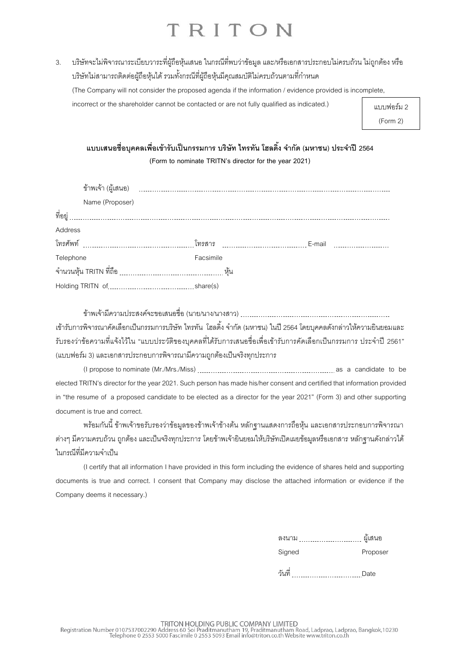3. บริษัทจะไม่พิจารณาระเบียบวาระที่ผู้ถือหุ้นเสนอ ในกรณีที่พบว่าข้อมูล และ/หรือเอกสารประกอบไม่ครบถ้วน ไม่ถูกต้อง หรือ บริษัทไม่สามารถติดต่อผู้ถือหุ้นได้ รวมทั้งกรณีที่ผู้ถือหุ้นมีคุณสมบัติไม่ครบถ้วนตามที่กำหนด (The Company will not consider the proposed agenda if the information / evidence provided is incomplete,

incorrect or the shareholder cannot be contacted or are not fully qualified as indicated.)

แบบฟอร์ม 2 (Form 2)

**แบบเสนอชื่อบุคคลเพอื่ เข้ารับเป็นกรรมการ บริษัท ไทรทัน โฮลดงิ้ จา กัด (มหาชน) ประจา ปี2564 (Form to nominate TRITN's director for the year 2021)**

|           | Name (Proposer) |           |        |
|-----------|-----------------|-----------|--------|
| ที่อยู่   |                 |           |        |
| Address   |                 |           |        |
|           |                 | โทรสาร    | E-mail |
| Telephone |                 | Facsimile |        |
|           |                 |           |        |
|           |                 |           |        |

ข้าพเจ้ามีความประสงค์จะขอเสนอชื่อ (นาย/นาง/นางสาว) เข้ารับการพิจารณาคัดเลือกเป็นกรรมการบริษัท ไทรทัน โฮลดิ้ง จำกัด (มหาชน) ในปี 2564 โดยบุคคลดังกล่าวให้ความยินยอมและ รับรองว่าข้อความที่แจ้งไว้ใน "แบบประวัติของบคคลที่ได้รับการเสนอชื่อเพื่อเข้ารับการคัดเลือกเป็นกรรมการ ประจำปี 2561" (แบบฟอร์ม 3) และเอกสารประกอบการพิจารณามีความถูกต้องเป็นจริงทุกประการ

(I propose to nominate (Mr./Mrs./Miss) as a candidate to be elected TRITN's director for the year2021. Such person has made his/her consent and certified that information provided in "the resume of a proposed candidate to be elected as a director for the year 2021" (Form 3) and other supporting document is true and correct.

พร้อมกันนี้ ข้าพเจ้าขอรับรองว่าข้อมูลของข้าพเจ้าข้างต้น หลักฐานแสดงการถือหุ้น และเอกสารประกอบการพิจารณา ต่างๆ มีความครบถ้วน ถูกต้อง และเป็นจริงทุกประการ โดยข้าพเจ้ายินยอมให้บริษัทเปิดเผยข้อมูลหรือเอกสาร หลักฐานดังกล่าวได้ ในกรณีที่มีความจำเป็น

(I certify that all information I have provided in this form including the evidence of shares held and supporting documents is true and correct. I consent that Company may disclose the attached information or evidence if the Company deems it necessary.)

| ลงนาม  | ผู้เสนอ  |
|--------|----------|
| Signed | Proposer |

วันที่ Date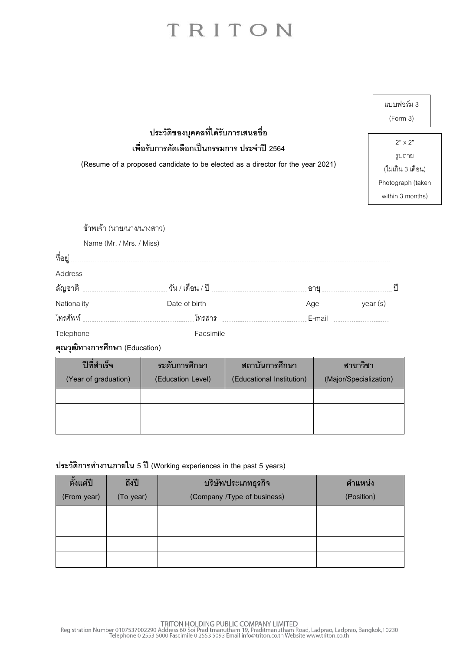| แบบฟอร์ม 3 |  |
|------------|--|
| (Form 3)   |  |

 $2" \times 2"$ รูปถ่าย (ไม่เกิน 3 เดือน) Photograph(taken within 3 months)

**ประวัติของบุคคลที่ได้รับการเสนอชื่อ**

**เพื่อรับการคดัเลอืกเป็นกรรมการ ประจา ปี2564**

**(Resume of a proposed candidate to be elected as a director for the year 2021)**

|             | Name (Mr. / Mrs. / Miss) |               |     |         |  |
|-------------|--------------------------|---------------|-----|---------|--|
| ที่อยู่     |                          |               |     |         |  |
| Address     |                          |               |     |         |  |
|             |                          |               |     |         |  |
| Nationality |                          | Date of birth | Age | year(s) |  |
|             |                          | โทรสาร        |     |         |  |
| Telephone   |                          | Facsimile     |     |         |  |
|             |                          |               |     |         |  |

**คุณวุฒิทางการศึกษา (Education)**

| ปีที่สำเร็จ          | ระดับการศึกษา     | ิสถาบันการศึกษา           | สาขาวิชา               |
|----------------------|-------------------|---------------------------|------------------------|
| (Year of graduation) | (Education Level) | (Educational Institution) | (Major/Specialization) |
|                      |                   |                           |                        |
|                      |                   |                           |                        |
|                      |                   |                           |                        |

#### **ประวัติการท างานภายใน 5 ปี (Working experiences in the past 5 years)**

| ตั้งแต่ปี<br>(From year) | ถึงปี<br>(To year) | บริษัท/ประเภทธุรกิจ<br>(Company /Type of business) | ์ ตำแหน่ง<br>(Position) |
|--------------------------|--------------------|----------------------------------------------------|-------------------------|
|                          |                    |                                                    |                         |
|                          |                    |                                                    |                         |
|                          |                    |                                                    |                         |
|                          |                    |                                                    |                         |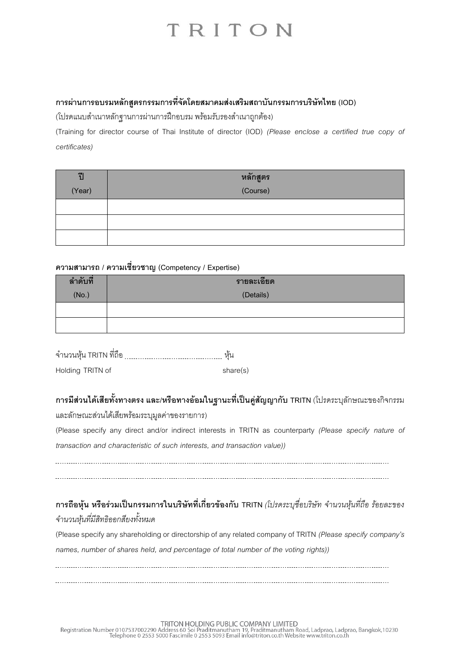### **การผ่านการอบรมหลักสูตรกรรมการที่จัดโดยสมาคมส่งเสริมสถาบันกรรมการบริษัทไทย (IOD)**

(โปรดแนบสำเนาหลักฐานการผ่านการฝึกอบรม พร้อมรับรองสำเนาถูกต้อง)

(Training for director course of Thai Institute of director (IOD) *(Please enclose a certified true copy of certificates)*

| $\tilde{1}$ | หลักสูตร |
|-------------|----------|
| (Year)      | (Course) |
|             |          |
|             |          |
|             |          |

### **ความสามารถ / ความเชี่ยวชาญ (Competency / Expertise)**

| ลำดับที่ | รายละเอียด |  |
|----------|------------|--|
| (No.)    | (Details)  |  |
|          |            |  |
|          |            |  |

จ านวนหุ้น TRITN ที่ถือ หุ้น Holding TRITN of share(s)

### **การมีส่วนได้เสียทั้งทางตรง และ/หรือทางอ้อมในฐานะที่เป็นคู่สัญญากับ TRITN** (โปรดระบุลักษณะของกิจกรรม

และลักษณะส่วนได้เสียพร้อมระบุมูลค่าของรายการ)

(Please specify any direct and/or indirect interests in TRITN as counterparty *(Please specify nature of transaction and characteristic of such interests, and transaction value))*

### **การถือหุ้น หรือร่วมเป็นกรรมการในบริษัทที่เกี่ยวข้องกับ TRITN** *(โปรดระบชุ ื่อบริษัท จำ นวนหนุ้ ทีถ่ ือ รอ้ยละของ จำ นวนหนุ้ ทมี่ ีสทิธิออกสยีงทงั้หมด*

(Please specify any shareholding or directorship of any related company of TRITN *(Please specify company's names, number of shares held, and percentage of total number of the voting rights))*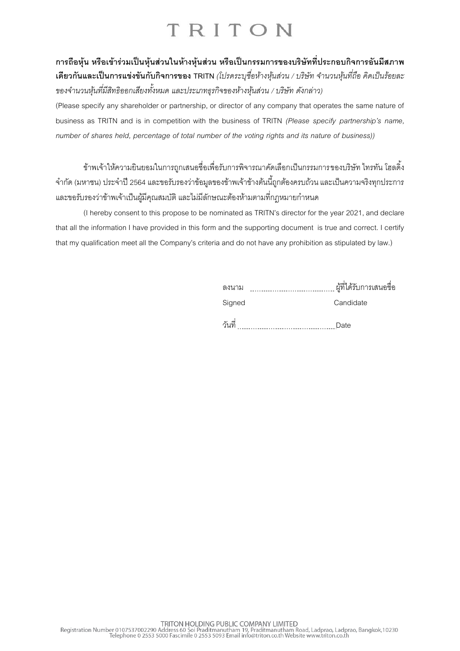**การถือหุ้น หรือเข้าร่วมเป็นหุ้นส่วนในห้างหุ้นส่วน หรือเป็นกรรมการของบริษัทที่ประกอบกิจการอันมีสภาพ เดียวกันและเป็ นการแข่งขันกับกิจการของ TRITN** *(โปรดระบุชื่อห้ำงหุ้นส่วน / บริษัท จำ นวนหนุ้ ทีถ่ อื คิดเป็นรอ้ยละ ของจำ นวนหนุ้ ทมี่ ีสทิธิออกเสยีงทงั้หมด และประเภทธุรกิจของหำ้งหนุ้ สว่ น / บรษิัท ดงักล่ำว)*

(Please specify any shareholder or partnership, or director of any company that operates the same nature of business as TRITN and is in competition with the business of TRITN *(Please specify partnership's name, number of shares held, percentage of total number of the voting rights and its nature of business))*

ข้าพเจ้าให้ความยินยอมในการถูกเสนอชื่อเพื่อรับการพิจารณาคัดเลือกเป็นกรรมการของบริษัท ไทรทัน โฮลดิ้ง ้จำกัด (มหาชน) ประจำปี 2564 และขอรับรองว่าข้อมลของข้าพเจ้าข้างต้นนี้ถูกต้องครบถ้วน และเป็นความจริงทุกประการ และขอรับรองว่าข้าพเจ้าเป็นผู้มีคุณสมบัติ และไม่มีลักษณะต้องห้ามตามที่กฎหมายกำหนด

(I hereby consent to this propose to be nominated as TRITN's director for the year 2021, and declare that all the information I have provided in this form and the supporting document is true and correct. I certify that my qualification meet all the Company's criteria and do not have any prohibition as stipulated by law.)

| ลงนาม  | ผู้ที่ได้รับการเสนอชื่อ |
|--------|-------------------------|
| Signed | Candidate               |
| วันที่ | Date                    |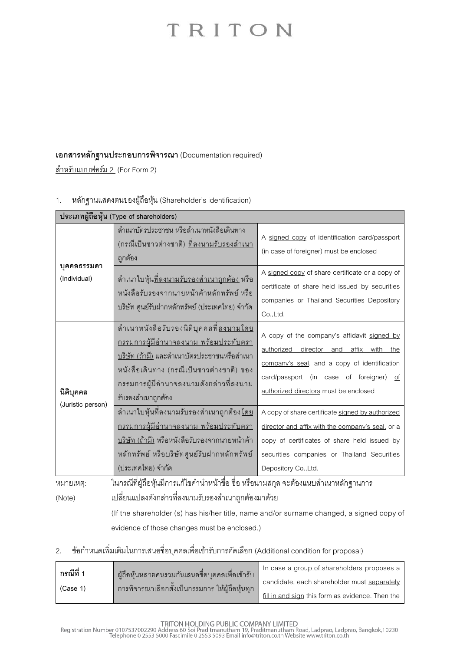### **เอกสารหลักฐานประกอบการพิจารณา** (Documentation required)

<u>สำหรับแบบฟอร์ม 2</u> (For Form 2)

### 1. หลักฐานแสดงตนของผู้ถือหุ้น (Shareholder's identification)

| ประเภทผู้ถือหุ้น (Type of shareholders) |                                                                                                                                                                                                                                                                    |                                                                                                                                                                                                                              |  |  |
|-----------------------------------------|--------------------------------------------------------------------------------------------------------------------------------------------------------------------------------------------------------------------------------------------------------------------|------------------------------------------------------------------------------------------------------------------------------------------------------------------------------------------------------------------------------|--|--|
| บุคคลธรรมดา<br>(Individual)             | สำเนาบัตรประชาชน หรือสำเนาหนังสือเดินทาง<br>(กรณีเป็นชาวต่างชาติ) <u>ที่ลงนามรับรองสำเนา</u><br><u>ถูกต้อง</u>                                                                                                                                                     | A signed copy of identification card/passport<br>(in case of foreigner) must be enclosed                                                                                                                                     |  |  |
|                                         | ้ สำเนาใบหุ้น <u>ที่ลงนามรับรองสำเนาถูกต้อง</u> หรือ<br>หนังสือรับรองจากนายหน้าค้าหลักทรัพย์ หรือ<br>บริษัท ศูนย์รับฝากหลักทรัพย์ (ประเทศไทย) จำกัด                                                                                                                | A signed copy of share certificate or a copy of<br>certificate of share held issued by securities<br>companies or Thailand Securities Depository<br>Co.,Ltd.                                                                 |  |  |
| นิติบุคคล<br>(Juristic person)          | ้ สำเนาหนังสือรับรองนิติบุคคลที่ <u>ลงนามโดย</u><br><u>กรรมการผู้มีอำนาจลงนาม พร้อมประทับตรา</u><br><u>บริษัท (ถ้ามี)</u> และสำเนาบัตรประชาชนหรือสำเนา<br>หนังสือเดินทาง (กรณีเป็นชาวต่างชาติ) ของ<br>กรรมการผู้มีอำนาจลงนามดังกล่าวที่ลงนาม<br>รับรองสำเนาถูกต้อง | A copy of the company's affidavit signed by<br>authorized director and affix with the<br>company's seal, and a copy of identification<br>card/passport (in case of foreigner)<br>of<br>authorized directors must be enclosed |  |  |
|                                         | ้ สำเนาใบหุ้นที่ลงนามรับรองสำเนาถูกต้อง <u>โดย</u><br><u>กรรมการผู้มีอำนาจลงนาม พร้อมประทับตรา</u><br><u>บริษัท (ถ้ามี)</u> หรือหนังสือรับรองจากนายหน้าค้า<br>หลักทรัพย์ หรือบริษัทศูนย์รับฝากหลักทรัพย์<br>(ประเทศไทย) จำกัด                                      | A copy of share certificate signed by authorized<br>director and affix with the company's seal, or a<br>copy of certificates of share held issued by<br>securities companies or Thailand Securities<br>Depository Co., Ltd.  |  |  |
| หมายเหตุ:                               | ในกรณีที่ผู้ถือหุ้นมีการแก้ไขคำนำหน้าชื่อ ชื่อ หรือนามสกุล จะต้องแนบสำเนาหลักฐานการ                                                                                                                                                                                |                                                                                                                                                                                                                              |  |  |
| (Note)                                  | เปลี่ยนแปลงดังกล่าวที่ลงนามรับรองสำเนาถูกต้องมาด้วย                                                                                                                                                                                                                |                                                                                                                                                                                                                              |  |  |
|                                         |                                                                                                                                                                                                                                                                    | (If the shareholder (s) has his/her title, name and/or surname changed, a signed copy of                                                                                                                                     |  |  |

evidence of those changes must be enclosed.)

### 2. ข้อกำหนดเพิ่มเติมในการเสนอชื่อบุคคลเพื่อเข้ารับการคัดเลือก (Additional condition for proposal)

| กรณีที่  | ผู้ถือหุ้นหลายคนรวมกันเสนอชื่อบุคคลเพื่อเข้ารับ<br>่ การพิจารณาเลือกตั้งเป็นกรรมการ ให้ผ้ถือห้นทก | In case a group of shareholders proposes a       |
|----------|---------------------------------------------------------------------------------------------------|--------------------------------------------------|
| (Case 1) |                                                                                                   | candidate, each shareholder must separately      |
|          |                                                                                                   | fill in and sign this form as evidence. Then the |